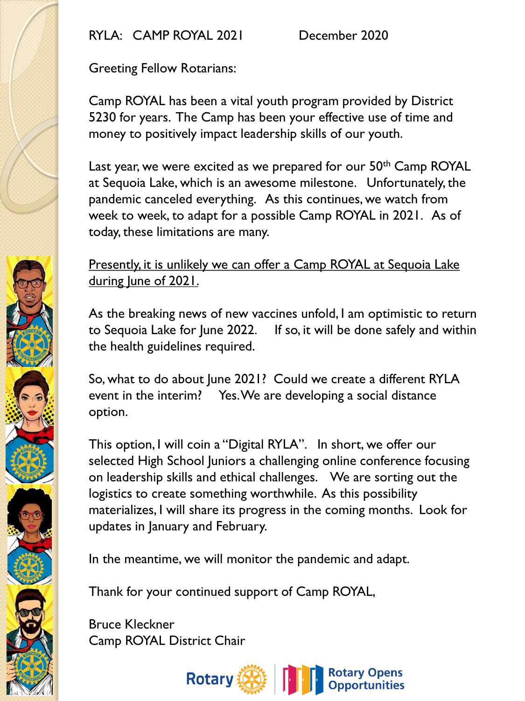RYLA: CAMP ROYAL 2021 December 2020

Greeting Fellow Rotarians:

Camp ROYAL has been a vital youth program provided by District 5230 for years. The Camp has been your effective use of time and money to positively impact leadership skills of our youth.

Last year, we were excited as we prepared for our 50<sup>th</sup> Camp ROYAL at Sequoia Lake, which is an awesome milestone. Unfortunately, the pandemic canceled everything. As this continues, we watch from week to week, to adapt for a possible Camp ROYAL in 2021. As of today, these limitations are many.

## Presently, it is unlikely we can offer a Camp ROYAL at Sequoia Lake during lune of 2021.

As the breaking news of new vaccines unfold, I am optimistic to return to Sequoia Lake for June 2022. If so, it will be done safely and within the health guidelines required.

So, what to do about June 2021? Could we create a different RYLA event in the interim? Yes. We are developing a social distance option.

This option, I will coin a "Digital RYLA". In short, we offer our selected High School Juniors a challenging online conference focusing on leadership skills and ethical challenges. We are sorting out the logistics to create something worthwhile. As this possibility materializes, I will share its progress in the coming months. Look for updates in January and February.

In the meantime, we will monitor the pandemic and adapt.

Thank for your continued support of Camp ROYAL,

Bruce Kleckner Camp ROYAL District Chair